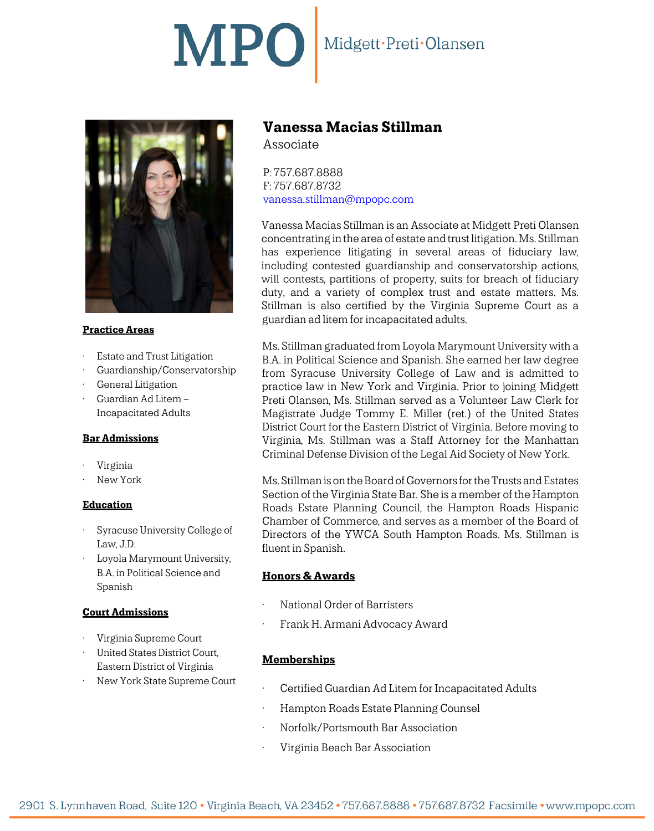# MPO Midgett·Preti·Olansen



#### **Practice Areas**

- Estate and Trust Litigation
- Guardianship/Conservatorship
- General Litigation
- Guardian Ad Litem Incapacitated Adults

#### **Bar Admissions**

- Virginia
- New York

#### **Education**

- Syracuse University College of Law, J.D.
- Loyola Marymount University, B.A. in Political Science and Spanish

#### **Court Admissions**

- Virginia Supreme Court
- United States District Court, Eastern District of Virginia
- New York State Supreme Court

## **Vanessa Macias Stillman**

Associate

P: 757.687.8888 F: 757.687.8732 [vanessa.stillman@mpopc.com](mailto:vanessa.stillman@mpopc.com)

Vanessa Macias Stillman is an Associate at Midgett Preti Olansen concentrating in the area of estate and trust litigation. Ms. Stillman has experience litigating in several areas of fiduciary law, including contested guardianship and conservatorship actions, will contests, partitions of property, suits for breach of fiduciary duty, and a variety of complex trust and estate matters. Ms. Stillman is also certified by the Virginia Supreme Court as a guardian ad litem for incapacitated adults.

Ms. Stillman graduated from Loyola Marymount University with a B.A. in Political Science and Spanish. She earned her law degree from Syracuse University College of Law and is admitted to practice law in New York and Virginia. Prior to joining Midgett Preti Olansen, Ms. Stillman served as a Volunteer Law Clerk for Magistrate Judge Tommy E. Miller (ret.) of the United States District Court for the Eastern District of Virginia. Before moving to Virginia, Ms. Stillman was a Staff Attorney for the Manhattan Criminal Defense Division of the Legal Aid Society of New York.

Ms. Stillman is on the Board of Governors for the Trusts and Estates Section of the Virginia State Bar. She is a member of the Hampton Roads Estate Planning Council, the Hampton Roads Hispanic Chamber of Commerce, and serves as a member of the Board of Directors of the YWCA South Hampton Roads. Ms. Stillman is fluent in Spanish.

#### **Honors & Awards**

- National Order of Barristers
- Frank H. Armani Advocacy Award

#### **Memberships**

- Certified Guardian Ad Litem for Incapacitated Adults
- Hampton Roads Estate Planning Counsel
- Norfolk/Portsmouth Bar Association
- Virginia Beach Bar Association